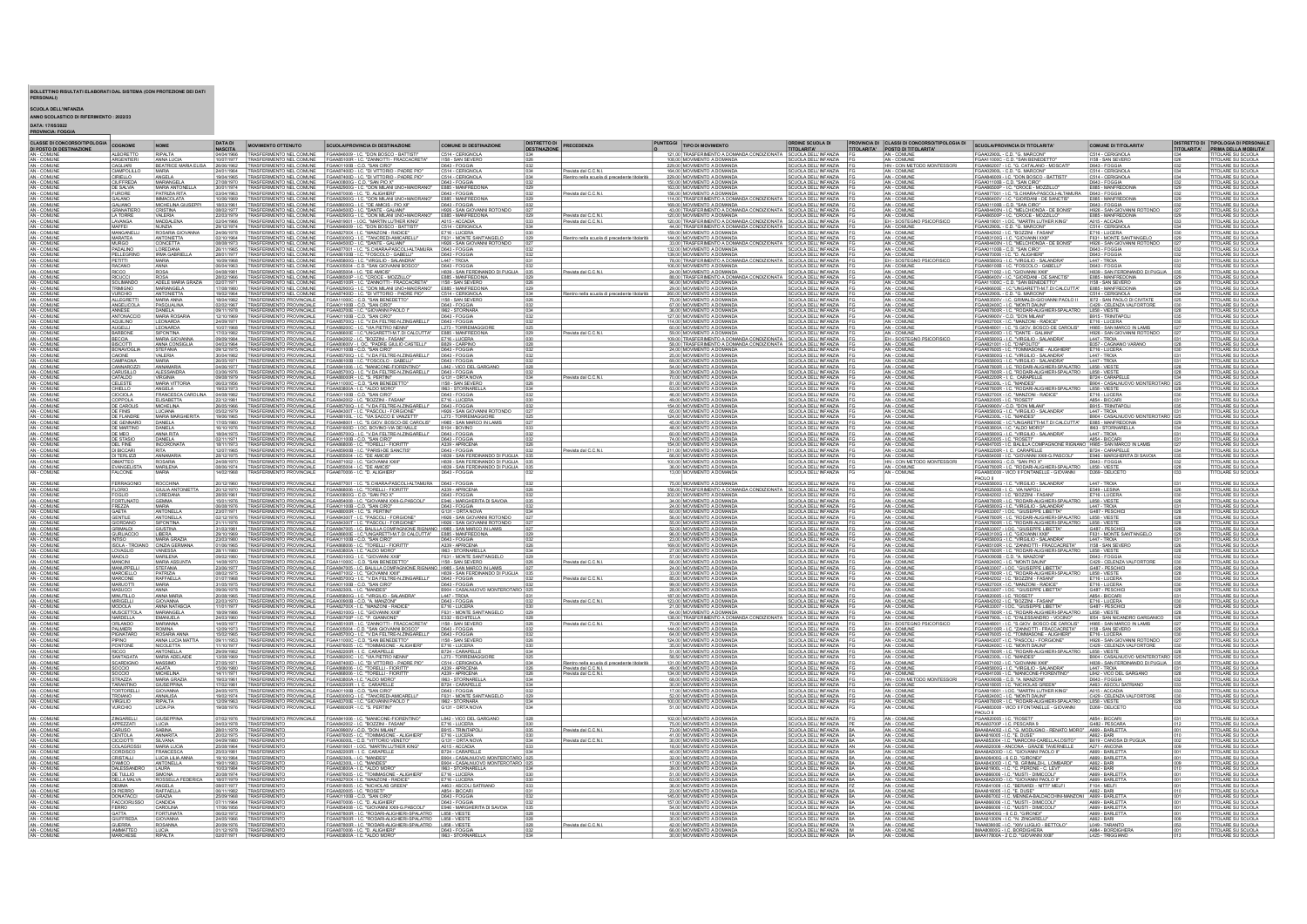## BOLLETTINO RISULTATI ELABORATI DAL SISTEMA (CON PROTEZIONE DEI DATI PERSONALI)

SCUOLA DELL'INFANZIA<br>ANNO SCOLASTICO DI RIFERIMENTO : 2022/23<br>DATA: 17/05/2022<br>PROVINCIA: FOGGIA

| <b>CLASSE DI CONCORSO/TIPOLOGIA</b>                    | COGNOME                               | NOME                                   | DATA DI                  | <b>MOVIMENTO OTTENUTO</b>                                                                                                         | <b>SCUOLA/PROVINCIA DI DESTINAZIONE</b>                                                                                                                                                                                              | COMUNE DI DESTINAZIONE                                                   | <b>DISTRETTO DI</b> | PRECEDENZA                                                          | PUNTEGGI TIPO DI MOVIMENTO                                                                                                                                                                                   | <b>ORDINE SCUOLA DI</b>                                                          | <b>PROVINCIA DI CLASSI DI CONCORSO/TIPOLOGIA DI</b>            | SCUOLA/PROVINCIA DI TITOLARITA'                                                                                                                                                                 | COMUNE DI TITOLARITA'                                                 | DISTRETTO DI TIPOLOGIA DI PERSONALI                                 |
|--------------------------------------------------------|---------------------------------------|----------------------------------------|--------------------------|-----------------------------------------------------------------------------------------------------------------------------------|--------------------------------------------------------------------------------------------------------------------------------------------------------------------------------------------------------------------------------------|--------------------------------------------------------------------------|---------------------|---------------------------------------------------------------------|--------------------------------------------------------------------------------------------------------------------------------------------------------------------------------------------------------------|----------------------------------------------------------------------------------|----------------------------------------------------------------|-------------------------------------------------------------------------------------------------------------------------------------------------------------------------------------------------|-----------------------------------------------------------------------|---------------------------------------------------------------------|
| DI POSTO DI DESTINAZIONE<br>AN - COMUNE<br>AN - COMUNE | <b>ALBORETTO</b>                      | RIPALTA<br>ANNA LUCIA                  | <b>NASCITA</b>           |                                                                                                                                   | 04/04/1966 TRASFERIMENTO NEL COMUNE FGAA846009 - I.C. "DON BOSCO - BATTISTI"                                                                                                                                                         | C514 - CERIGNOLA                                                         |                     |                                                                     | 121.00 TRASFERIMENTO A DOMANDA CONDIZIONATA SCUOLA DELL'INFANZIA F                                                                                                                                           | <b>TITOLARITA'</b>                                                               | TITOLARITA' POSTO DI TITOLARITA'<br>AN - COMUNE<br>AN - COMUNE | FGAA02900L - C.D. "G. MARCONI"                                                                                                                                                                  | C514 - CERIGNOLA                                                      | <b>ITOLARITA' PRIMA DELLA MOBILITA'</b><br>TITOLARE SU SCUOLA       |
| AN - COMUNE                                            | ARGENTIER<br>CAGLIARI                 | <b>BEATRICE MARIA ELISA</b>            | 26/06/1962               | RASFERIMENTO NEL COMUNE<br>VASFERIMENTO NEL COMUNE FGAA01100B - C.D. "SAN CIRO"                                                   | FGAA851008<br>ZANNOTTI - FRACCACRETA                                                                                                                                                                                                 | 1158 - SAN SEVER<br>D643 - FOGGIA                                        | 1032                |                                                                     | 108.00 MOVIMENTO A DOMAND<br>229.00 MOVIMENTO A DOMANDA                                                                                                                                                      | CUOLA DELL'INFANZIA<br>SCUOLA DELL'INFANZIA                                      | HN - CON METODO MONTESSORI                                     | GAA11000C - C.D. "SAN BENEDETT<br>FGAA862007 - I.C. "G. CATALANO - MOSCAT                                                                                                                       | 158 - SAN SEVER<br>D643 - FOGGIA                                      | <b>ITOLARE SU SCUOLA</b><br>TITOLARE SU SCUOLA                      |
| AN - COMUN<br>AN - COMUN                               | CIAMPOLILLO                           | MARIA<br>ANGELA                        | 4/01/1964                |                                                                                                                                   | ASFERIMENTO NEL COMUNE FGAA87400D - I.C. "DI VITTORIO - PADRE PI<br>RASFERIMENTO NEL COMUNE FGAA87400D - I.C. "DI VITTORIO - PADRE PIO"                                                                                              | C514 - CERIGNOLA<br>C514 - CERIGNOLA                                     |                     | revista dal C.C.N.L<br>Gentro nella scuola di precedente titolarità | 164.00 MOVIMENTO A DOMANDA<br>229.00 MOVIMENTO A DOMANDA                                                                                                                                                     | CUOLA DELL'INFANZIA<br>SCUOLA DELL'INFANZIA                                      | AN - COMUNE<br>AN - COMUNI                                     | GAA02900L - C.D. "G. MARCON<br>GAA846009 - I.C. "DON BOSCO - BATTIST                                                                                                                            | 514 - CERIGNOLA<br>C514 - CERIGNOLA                                   | <b>ITOLARE SU SCUOLA</b><br><b>ITOLARE SU SCUOLA</b>                |
| AN - COMUNE<br>AN - COMUNI                             | <b>CIUFFREDA</b><br>DE SALVIA         | MARIANGELA<br>MARIA ANTONELI           | 30/01/1974               | 27/08/1970 TRASFERIMENTO NEL COMUNE FGAA00800G - C.D. "SAN PIO X"                                                                 | RASFERIMENTO NEL COMUNE FGAA82900G - I.C. "DON MILANI UNO+MAJORANO" E885 - MANFREDONIA                                                                                                                                               | D643 - FOGGIA                                                            |                     |                                                                     | 150.00 MOVIMENTO A DOMANDA<br>163.00 MOVIMENTO A DOMANDA                                                                                                                                                     | SCUOLA DELL'INFANZIA  <br><b>SCUOLA DELL'INFANZIA</b>                            | AN - COMUNE                                                    | FGAA01100B - C.D. "SAN CIRO"<br>GAA86500P - I.C. "CROCE - MOZZILLO                                                                                                                              | D643 - FOGGIA                                                         | TITOLARE SU SCUOLA<br><b>ITOLARE SU SCUOLA</b>                      |
| AN - COMUNE<br>AN - COMUNE                             | <b>FURORE</b>                         | PATRIZIA RITA                          | 13/04/1963               |                                                                                                                                   | MASFERIMENTO NEL COMUNE FGAA870006 - I.C. "D. ALIGHIERI"<br>MASFERIMENTO NEL COMUNE FGAA82900G - I.C. "DON MILANI UNO+MAIORANO"                                                                                                      | D643 - FOGGIA<br>E885 - MANFREDONIA                                      | 1032                | revista dal C.C.N.L                                                 | 156.00 MOVIMENTO A DOMANDA SCUOLA DELL'INFANZIA<br>114,00 TRASFERIMENTO A DOMANDA CONDIZIONATA SCUOLA DELL'INFANZIA                                                                                          | CUOLA DELL'INFANZIA                                                              | AN - COMUNE<br>AN - COMUNE<br>AN - COMUNE                      | GAA877001 - I.C. *S.CHIARA-PASCOLI-ALTAMURA                                                                                                                                                     | E885 - MANFREDONIA<br>D643 - FOGGIA                                   | ITOLARE SU SCUOLA<br>ITOLARE SU SCUOLA                              |
| COMUN                                                  | <b>GALANO</b><br>GALIANO              | <b>IMMACOLATA</b><br>MICHELINA GIUS    | 10/08/1969<br>18/03/1961 |                                                                                                                                   | RASFERIMENTO NEL COMUNE FGAA86000G - I.C. "DE AMICIS - PIO XII"                                                                                                                                                                      | D643 - FOGGIA                                                            |                     |                                                                     | 169.00 MOVIMENTO A DOMANDA                                                                                                                                                                                   | SCUOLA DELL'INFANZIA                                                             | AN - COMUNE                                                    | GAA86400V - I.C. "GIORDANI - DE SANCTIS"<br>GAA01100B - C.D. "SAN CIRO"                                                                                                                         | E885 - MANFREDONIA                                                    | <b>ITOLARE SU SCUOLA</b>                                            |
| AN - COMUN<br>AN - COMUN                               | <b>GRANATIERO</b><br><b>LA TORRE</b>  | CRISTINA<br>VALERIA                    | 08/02/1977<br>22/03/1979 |                                                                                                                                   | TRASFERIMENTO NEL COMUNE FGAA84500D - I.C. "DANTE - GALIANI"<br>TRASFERIMENTO NEL COMUNE FGAA82900G - I.C. "DON MILANI UNO+MAIORANO                                                                                                  | H926 - SAN GIOVANNI ROTONDO<br>E885 - MANFREDONIA                        |                     | evista dal C.C.N.I                                                  | 43.00 TRASFERIMENTO A DOMANDA CONDIZIONATA SCUOLA DELL'INFANZIA<br>120.00 MOVIMENTO A DOMANDA                                                                                                                | SCUOLA DELL'INFANZIA                                                             | AN - COMUNE                                                    | GAA84400N - LC. "MELCHIONDA - DE BONIS"<br>GAA86500P - I.C. "CROCE - MOZZILLO"                                                                                                                  | H926 - SAN GIOVANNI ROTONDO<br>E885 - MANFREDONIA                     | TITOLARE SU SCUOLA<br><b>ITOLARE SU SCUOLA</b>                      |
| AN - COMUNE<br>AN - COMUNE                             | LAVANGA<br>MAFFEI                     | MADDALENA<br>NUNZIA                    | 02/04/1966<br>29/12/1974 |                                                                                                                                   | VASFERIMENTO NEL COMUNE FGAA819001 - LOC. "MARTIN LUTHER KING"<br>VASFERIMENTO NEL COMUNE FGAA846009 - LC. "DON BOSCO - BATTISTI"                                                                                                    | A015 - ACCADIA                                                           |                     | Prevista dal C.C.N.L                                                | 120.00 TRASFERIMENTO A DOMANDA CONDIZIONATA SCUOLA DELL'INFANZIA<br>44,00 TRASFERIMENTO A DOMANDA CONDIZIONATA SCUOLA DELL'INFANZIA                                                                          |                                                                                  | AN - COMUNE<br>EH - SOSTEGNO PSICOFISICO<br>AN - COMUNE        | FGAA819001 - LOC. "MARTIN LUTHER KING"<br>FGAA02900L - C.D. "G. MARCONI"                                                                                                                        | A015 - ACCADIA<br>C514 - CERIGNOLA                                    | ITOLARE SU SCUOLA<br>ITOLARE SU SCUOLA                              |
| AN - COMUNE                                            | MANGANELL                             | ROSARIA GIOV.                          | 8108/1978                |                                                                                                                                   | TRASFERIMENTO NEL COMUNE FGAA82700X - LC. "MANZONI - RADICE                                                                                                                                                                          | F716 - LUCERA                                                            |                     |                                                                     | 159,00 MOVIMENTO A DOMANDA                                                                                                                                                                                   | SCUOLA DELL'INFANZIA                                                             | AN - COMUNE                                                    | GAA842002 - I.C. "BOZZINI - FASANI"                                                                                                                                                             | E716 - LUCERA                                                         | <b>ITOLARE SU SCUOLA</b>                                            |
| AN - COMUN                                             | <b>MARATEA</b><br><b>MURGO</b>        | ANTONIETTA<br>CONCETTA                 | 08/08/1973               |                                                                                                                                   | 02/10/1964 TRASFERIMENTO NEL COMUNE FGAA83000Q - I.C. "TANCREDI-AMICARELL<br>TRASFERIMENTO NEL COMUNE FGAA84500D - I.C. "DANTE - GALIANI"                                                                                            | F631 - MONTE SANTANGELO<br>H926 - SAN GIOVANNI ROTONDO                   | 1029                | Rientro nella scuola di precedente titolarità                       | 144.00 MOVIMENTO A DOMANDA<br>33,00 TRASFERIMENTO A DOMANDA CONDIZIONATA SCUOLA DELL'INFANZIA                                                                                                                | SCUOLA DELL'INFANZIA                                                             | AN - COMUNE<br>AN - COMUNE                                     | GAA83100G - I.C. "GIOVANNI XXIII<br>GAA84400N - LC. "MELCHIONDA - DE BONIS                                                                                                                      | F631 - MONTE SANT'ANGELO<br>H926 - SAN GIOVANNI ROTONDO               | <b>TITOLARE SU SCUOLA</b><br>029<br><b>ITOLARE SU SCUOLA</b>        |
| AN - COMUNE<br>AN - COMUNE                             | PADALINO<br>PELLEGRINO                | LOREDANA<br>  IRMA GABRIELL            | 26/11/1965<br>28/01/1977 |                                                                                                                                   | ASFERIMENTO NEL COMUNE FGAA877001 - I.C. "S.CHIARA-PASCOLI-ALTAMUF<br>ASFERIMENTO NEL COMUNE FGAA86100B - I.C. "FOSCOLO - GABELLI"                                                                                                   | D643 - FOGGIA                                                            |                     |                                                                     | 132.00 MOVIMENTO A DOMANDA<br>139,00 MOVIMENTO A DOMANDA                                                                                                                                                     | SCUOLA DELL'INFANZIA<br>SCUOLA DELL'INFANZIA                                     | AN - COMUNE<br>AN - COMUNE                                     | SAA01100B - C.D. "SAN CIRO"<br>"GAA870006 - I.C. "D. ALIGHIERI                                                                                                                                  | D643 - FOGGIA                                                         | TOLARE SU SCUOLA<br>TOLARE SU SCUOLA                                |
| AN - COMUNE<br>AN - COMUNE                             | <b>PETITTI</b><br><b>RACANO</b>       | <b>MARIA</b><br>ANNA                   | 16/09/1968               |                                                                                                                                   | TRASFERIMENTO NEL COMUNE FGAA85800G - I.C. "VIRGILIO - SALANDRA<br>06/04/1963 TRASFERIMENTO NEL COMUNE FGAA005004 - C.D. "SAN GIOVANNI BOSCO"                                                                                        | 1447 - TROIA<br>D643 - FOGGIA                                            |                     |                                                                     | 78,00 TRASFERIMENTO A DOMANDA CONDIZIONATA SCUOLA DELL'INFANZIA<br>106.00 MOVIMENTO A DOMANDA                                                                                                                | SCUOLA DELL'INFANZIA F                                                           | EH - SOSTEGNO PSICOFISICO                                      | GAA85800G - I.C. "VIRGILIO - SALANDRA<br>FGAA86100B - I.C. "FOSCOLO - GABELLI"                                                                                                                  | 1447 - TROIA<br>D643 - FOGGIA                                         | <b>TITOLARE SU SCUOLA</b><br>TITOLARE SU SCUOLA                     |
| AN - COMUNI                                            |                                       | <b>IROSA</b>                           | 04/08/1981               | TRASFERIMENTO NEL COMUNE FGAA855004 - I.C. "DE AMICIS'                                                                            |                                                                                                                                                                                                                                      | H839 - SAN FERDINANDO DI PUGLIA                                          |                     | evista dal C.C.N.I                                                  | 24,00 MOVIMENTO A DOMANDA                                                                                                                                                                                    | SCUOLA DELL'INFANZIA                                                             | AN - COMUNE                                                    | GAA871002 - I.C. "GIOVANNI XXIII"                                                                                                                                                               | H839 - SAN FERDINANDO DI PUGLIA 03                                    | <b>ITOLARE SU SCUOLA</b>                                            |
| AN - COMUNI<br>AN - COMUN                              | <b>TRIMIGNO</b>                       | ROSA<br>ADELE MARIA GR<br>MARIANGELA   | 28/02/1966<br>02/07/1971 |                                                                                                                                   | VASEERIMENTO NEL COMUNE FGAA86500P - I.C. "CROCE - MOZZILLO"<br>RASEERIMENTO NEL COMUNE FGAA85100R - I.C. "ZANNOTTI - FRACCACRETA"                                                                                                   | E885 - MANFREDONI<br>E885 - MANFREDONI                                   |                     |                                                                     | 88.00 TRASFERIMENTO A DOMANDA CONDIZIONATA<br>96,00 MOVIMENTO A DOMANDA<br>29.00 MOVIMENTO A DOMANDA                                                                                                         | SCUOLA DELL'INFANZIA<br>SCUOLA DELL'INFANZIA<br>SCUOLA DELL'INFANZIA             | AN - COMUNI<br>AN - COMUNI                                     | GAA86400V - LC. "GIORDANI - DE SANCTIS"<br>"GAA11000C - C.D. "SAN BENEDETTO"                                                                                                                    | E885 - MANFREDONIA<br>1158 - SAN SEVERO                               | TOLARE SU SCUOLA<br><b>ITOLARE SU SCUOLA</b>                        |
| AN - COMUNE<br>AN - COMUNE                             | <b>VURCHIO</b>                        | ANTONIETTA                             |                          |                                                                                                                                   | 17/09/1980 TRASFERIMENTO NEL COMUNE FGAA82900G-I.C. "DON MILANI UNO-HANORANO"<br>1902/1984 TRASFERIMENTO NEL COMUNE FGAA874000-I.C. "DI VITTORIO - PADRE PIO"<br>18/04/1982 TRASFERIMENTO PROVINCIALE FGAA11000C-C.D. "SAN BENEDETTO | C514 - CERIGNOLA                                                         | 1034                | ientro nella scuola di precedente titolarità                        | 260.00 MOVIMENTO A DOMANDA                                                                                                                                                                                   | SCUOLA DELL'INFANZIA                                                             | AN - COMUNE<br>AN - COMUNE<br>AN - COMUNE                      | GAA86600E - I.C. "UNGARETTI-M.T.DI CALCUTTA"   E885 - MANFREDONIA<br>FGAA02900L - C.D. "G. MARCONI" C514 - CERIGNOLA<br>FGAA83500V - LC. GRIMALDI-GIOVANNI PAOLO II 072 - SAN PAOLO DI CIVITATE |                                                                       | <b>ITOLARE SU SCUOLA</b>                                            |
| AN - COMUNE<br>AN - COMUNE                             | <b>ALLEGRETTI</b><br>ANGELICOLA       | MARIA ANNA                             | 02/02/1967<br>09/11/1978 |                                                                                                                                   | TRASFERIMENTO PROVINCIALE FGAA01100B - C.D. "SAN CIRO"<br>TRASFERIMENTO PROVINCIALE FGAA83700E - I.C. "GIOVANNI PAOLO                                                                                                                | I158 - SAN SEVERO<br>D643 - FOGGIA                                       |                     |                                                                     | 75,00 MOVIMENTO A DOMANDA<br>67.00 MOVIMENTO A DOMANDA<br>36,00 MOVIMENTO A DOMANDA                                                                                                                          | SCUOLA DELL'INFANZIA<br>SCUOLA DELL'INFANZIA<br>SCUOLA DELL'INFANZIA             | AN - COMUNE                                                    | "GAA82400C - LC. "MONTI DAUNI"<br>"GAA87800R - LC. "RODARI-ALIGHIERI-SPALATRO                                                                                                                   | C429 - CELENZA VALFORTORE<br>L858 - VIESTE                            | <b>ITOLARE SU SCUOLA</b><br>TTOLARE SU SCUOLA                       |
| AN - COMUNI                                            | <b>ANTONACCIO</b>                     | PASQUALINA<br>DANIELA<br>MARIA ROSARIA | 12/10/1969               | TRASFERIMENTO PROVINCIALE FGAA01100B - C.D. "SAN CIRO"                                                                            |                                                                                                                                                                                                                                      | D643 - FOGGIA                                                            |                     |                                                                     | 127.00 MOVIMENTO A DOMANDA                                                                                                                                                                                   | SCUOLA DELL'INFANZIA                                                             | AN - COMUNE                                                    | GAA09900V - C.D. "DON MILANI"                                                                                                                                                                   | B915 - TRINITAPOL                                                     | <b>ITOLARE SU SCUOLA</b>                                            |
| AN - COMUNE                                            | <b>AQUILINO</b><br><b>AUGELLI</b>     | LEONARDA                               | 24/09/1971<br>10/07/1968 | TRASFERIMENTO PROVINCIALE<br>TRASFERIMENTO PROVINCIALE                                                                            | FGAA85700Q - LC. "VDA FELTRE-N.ZINGARELL"<br>FGAA85700Q - LC. "VDA FELTRE-N.ZINGARELL"                                                                                                                                               | D643 - FOGGIA<br>L273 - TORREMAGGIORE                                    |                     |                                                                     | 114.00 MOVIMENTO A DOMANDA<br>60,00 MOVIMENTO A DOMANDA                                                                                                                                                      | SCUOLA DELL'INFANZIA<br>SCUOLA DELL'INFANZIA                                     | AN - COMUNE                                                    | -<br>FGAA82700X - LC. "MANZONI - RADICE"<br>FGAA848001 - LC. "S.GIOV. BOSCO-DE CAROLIS"                                                                                                         | E716 - LUCERA<br>H985 - SAN MARCO IN LAMIS                            | TITOLARE SU SCUOLA                                                  |
|                                                        | BARBONE<br>BECCIA                     | SIPONTINA<br>MARIA GIOVAN              | 17/03/1982<br>09/09/1984 | RASFERIMENTO PROVINCIALE<br>RASFERIMENTO PROVINCIALE<br><b>RASFERIMENT</b>                                                        | FGAA86600E - I.C."UNGARETTI-M.T.DI CALCUTTA"<br>FGAA842002 - I.C. "BOZZINI - FASANI"                                                                                                                                                 | E885 - MANFREDONIA<br>E716 - LUCERA                                      |                     | revista dal C.C.N.L                                                 |                                                                                                                                                                                                              |                                                                                  |                                                                | GAA84500D - LC, "DANTE - GALIANI"<br>GAA85800G - LC, "VIRGILIO - SALANDRA"                                                                                                                      | H926 - SAN GIOVANNI ROTONDO                                           | ITOLARE SU SCUOLA<br>ITOLARE SU SCUOLA                              |
| AN - COMUNE<br>AN - COMUNE<br>AN - COMUNE              | <b>BISCOTT</b>                        | ANNA CONSIGLIA                         | 04/03/1964               |                                                                                                                                   | TRASFERIMENTO PROVINCIALE FGAA80600V - I. OC. "PADRE GIULIO CASTELLI"                                                                                                                                                                | B829 - CARPINO                                                           |                     |                                                                     | <u>59.00 MOVIMENTO A DOMANDA CONDIZIONATA SCUOLA DELL'INFANZIA (1980) TRASFERMENTO A DOMANDA CONDIZIONATA SCUOLA DELL'INFANZIA (1980)</u><br>198.00 TRASFERMENTO A DOMANDA CONDIZIONATA SCUOLA DELL'INFANZIA |                                                                                  | AN - COMUNE<br>EH - SOSTEGNO PSICOFISICO<br>AN - COMUNE        | GAA821001 - I.C. "D'APOLITO"                                                                                                                                                                    | <b>B357 - CAGNANO VARANO</b>                                          | TITOLARE SU SCUOLA                                                  |
| AN - COMUNI<br>AN - COMUNI                             | BONAVOGLIA                            | STEFANA                                | 30/04/1982               | RASFERIMENTO PROVINCIALE<br>RASFERIMENTO PROVINCIALE                                                                              | FGAA01100B - C.D. "SAN CIRO"<br>FGAA85700Q - I.C. "V.DA FELTRE-N.ZINGARELLI"                                                                                                                                                         |                                                                          |                     |                                                                     | 24.00 MOVIMENTO A DOMANDA<br>25,00 MOVIMENTO A DOMANDA                                                                                                                                                       | SCUOLA DELL'INFANZIA<br>SCUOLA DELL'INFANZIA                                     | AN - COMUNE<br>AN - COMUNE                                     | "GAA876005 - I.C. "TOMMASONE - ALIGHIERI"<br>"GAA85800G - I.C. "VIRGILIO - SALANDRA"                                                                                                            | E716 - LUCERA<br>L447 - TROIA                                         | <b>ITOLARE SU SCUOLA</b><br>ITOLARE SU SCUOLA                       |
| AN - COMUNI                                            | CAMPAGNA<br>CANNAROZ                  | MARIA<br>ANNAMARIA                     | 26/05/1971               | RASFERIMENTO PROVINCIALE<br>RASFERIMENTO PROVINCIALE                                                                              | FGAA86100B - I.C. "FOSCOLO - GABELLI"<br>FGAA841006 - I.C. "MANICONE-FIORENTINO                                                                                                                                                      | D643 - FOGGIA<br>L842 - VICO DEL GARGANO<br>D643 - FOGGIA                |                     |                                                                     | 69.00 MOVIMENTO A DOMANDA                                                                                                                                                                                    | S <mark>CUOLA DELL'INFANZIA.</mark><br>SCUOLA DELL'INFANZIA                      | AN - COMUNE<br>AN - COMUNE<br>AN - COMUNE                      | .<br>GAA85800G - I.C. "VIRGILIO - SALANDRA"<br>GAA87800R - I.C. "RODARI-ALIGHIERI-SPALATRO"                                                                                                     | L447 - TROM<br>L858 - VIEST                                           | TITOLARE SU SCUOLA<br>TITOLARE SU SCUOLA<br>TITOLARE SU SCUOLA      |
| AN - COMUNE                                            | CARUSILLO                             | ALESSANDRA                             |                          |                                                                                                                                   | 03/06/1976 TRASFERIMENTO PROVINCIALE FGAA85700Q - I.C. "V.DA FELTRE-N.ZINGARELLI"                                                                                                                                                    |                                                                          |                     | evista dal C.C.N.L                                                  | 39,00 MOVIMENTO A DOMANDA                                                                                                                                                                                    | SCUOLA DELL'INFANZIA                                                             |                                                                | GAA87800R - LC. "RODARI-ALIGHIERI-SPALATRO<br>GAA82200R - LC. CARAPELLE                                                                                                                         | L858 - VIESTE                                                         | l 028                                                               |
| AN - COMUNE<br>AN - COMUNE                             | CATALDO<br>CELESTE                    | VIRGINIA                               | 09/08/1979<br>06/03/1956 | TRASFERIMENTO PROVINCIALE<br>TRASFERIMENTO PROVINCIALE                                                                            | FGAA88000R - I.C. "S. PERTINI"<br>FGAA11000C - C.D. "SAN BENEDETT                                                                                                                                                                    | G131 - ORTA NOVA<br>I158 - SAN SEVERO                                    |                     |                                                                     | 70.00 MOVIMENTO A DOMANDA<br>81,00 MOVIMENTO A DOMANDA                                                                                                                                                       | SCUOLA DELL'INFANZIA<br>SCUOLA DELL'INFANZIA                                     | AN - COMUNE<br>AN - COMUNE                                     | GAA82300L - I.C. "MANDES"                                                                                                                                                                       | B724 - CARAPELLE<br>B904 - CASALNUOVO MONTERO                         | TITOLARE SU SCUOLA                                                  |
| AN - COMUNE<br>AN - COMUNE                             | CHIELLO<br>CIOCIOLA                   | ANGELA<br>FRANCESCA CAR                |                          | 19/03/1973 TRASFERIMENTO PROVINCIALE<br>04/08/1982 TRASFERIMENTO PROVINCIALE                                                      | FGAA83800A - LC. "ALDO MORO"<br>FGAA01100B - C.D. "SAN CIRO"                                                                                                                                                                         | 1963 - STORNARELLA                                                       |                     |                                                                     | 63.00 MOVIMENTO A DOMANDA<br>46.00 MOVIMENTO A DOMANDA                                                                                                                                                       | <b>SCUOLA DELL'INFANZIA</b><br>CUOLA DELL'INFANZIA                               | AN - COMUNE<br>AN - COMUNE                                     | -GAA87800R - LC. "RODARI-ALIGHIERI-SPALATRO   L858 - VIESTE<br>-GAA82700X - LC. "MANZONI - RADICE"   E716 - LUCERJ<br>"MANZONI - RADICE                                                         |                                                                       | TITOLARE SU SCUOLA<br>TITOLARE SU SCUOLA                            |
| AN - COMUNE                                            | COPPOLA<br>DE CAROLIS                 | ELISABETTA<br><b>MICHELINA</b>         | 22/12/1981               |                                                                                                                                   | RASFERIMENTO PROVINCIALE FGAA842002 - I.C. "BOZZINI - FASA!                                                                                                                                                                          | E716 - LUCERA<br>D643 - FOGGIA                                           |                     |                                                                     | 49,00 MOVIMENTO A DOMANDA<br>154.00 MOVIMENTO A DOMANDA                                                                                                                                                      | CUOLA DELL'INFANZIA<br>SCUOLA DELL'INFANZIA                                      | AN - COMUN                                                     | GAA820005 - I.C. *ROSET                                                                                                                                                                         | A854 - BICCAR<br>B915 - TRINITAPOL                                    | TOLARE SU SCUOLA<br>TITOLARE SU SCUOLA                              |
| AN - COMUNE<br>AN - COMUNE<br>AN - COMUNE              | DE FINIS<br>DE FLANDRE                | MARIA MARGHERIT                        |                          |                                                                                                                                   | 26/05/1966 TRASFERMENTO PROVINCIALE FGAA857000 - I.C. "V.DA FELTRE-N.ZINGARELLI"<br>05/02/1979 TRASFERMENTO PROVINCIALE FGAA84300T - I.C. "PASCOLI - FORGIONE"<br>19/08/1965 TRASFERMENTO PROVINCIALE FGAA88100L - I.C. "VA SACCO E  | SAN GIOVANNI ROTONDO<br>L273 - TORREMAGGIORE                             |                     |                                                                     | 65,00 MOVIMENTO A DOMAND<br>124.00 MOVIMENTO A DOMANDA                                                                                                                                                       | CUOLA DELL'INFANZIA<br>SCUOLA DELL'INFANZIA                                      | AN - COMUNE<br>AN - COMUNE<br>AN - COMUNE                      | FGAA09900V - C.D. "DON MILANI"<br>FGAA85800G - I.C. "VIRGILIO - SALANDRA"<br>FGAA82300L - I.C. "MANDES"                                                                                         | B904 - CASALNUOVO MONTEROTARO 025                                     | <b>ITOLARE SU SCUOLA</b><br>TITOLARE SU SCUOLA                      |
| AN - COMUNE                                            | DE GENNARO                            | DANIELA<br>DANIELA                     | 17/05/1980<br>16/10/1976 |                                                                                                                                   | TRASFERMENTO PROVINCIALE FGAAB48001-1C *S.GIOV. BOSCO-DE CAROLIS*<br>TRASFERMENTO PROVINCIALE FGAAB16000 - 1.OC. BOVINO-VIA DEI MILLE                                                                                                | H985 - SAN MARCO IN LAMIS<br>B104 - BOVINO                               |                     |                                                                     | 45.00 MOVIMENTO A DOMANDA                                                                                                                                                                                    | SCUOLA DELL'INFANZIA<br>SCUOLA DELL'INFANZIA                                     | AN - COMUNE<br>AN - COMUNE                                     | CAARRADE - LC "UNGARETTI-M T DLCALCUTTA"                                                                                                                                                        | E885 - MANFREDONIA                                                    | TITOLARE SU SCUOLA                                                  |
| AN - COMUNI<br>AN - COMUN                              | DE MARTINO<br>DE MEO<br>DE STASIO     | ANNA RITA                              | 18/04/1975               |                                                                                                                                   | TRASFERIMENTO PROVINCIALE FGAA85700Q - I.C. "V.DA FELTRE-N.ZINGARELLI"<br>TRASFERIMENTO PROVINCIALE FGAA01100B - C.D. "SAN CIRO"                                                                                                     | D643 - FOGGIA                                                            |                     |                                                                     | 48,00 MOVIMENTO A DOMANDA<br>60.00 MOVIMENTO A DOMANDA                                                                                                                                                       | <b>SCUOLA DELL'INFANZIA</b>                                                      | AN - COMUNE<br>AN - COMUNE                                     | GAA83800A - LC. "ALDO MORO<br>GAA85800G - I.C. "VIRGILIO - SALANDRA"                                                                                                                            | L447 - TROIA                                                          | <b>ITOLARE SU SCUOLA</b>                                            |
| AN - COM IN<br>AN - COMUNE                             | <b>DEL FINE</b>                       | DANIELA<br>INCORONATA                  |                          |                                                                                                                                   | 18/11/1973 TRASFERIMENTO PROVINCIALE FGAA868006 - I.C. "TORELLI - FIORITT                                                                                                                                                            | A339 - APRICENA                                                          |                     |                                                                     | <b>74 00 MOVIMENTO A DOMAND</b><br>154.00 MOVIMENTO A DOMANDA                                                                                                                                                | <b>SCUOLA DELL'INFANZIA</b><br>SCUOLA DELL'INFANZIA F                            | AN - COMUNE                                                    | GAA820005 - LC. "ROSETI<br>FGAA847005 - I.C. BALILLA COMPAGNONE RIGNANO   H985 - SAN MARCO IN LAMIS                                                                                             | AR54 - RICCAR                                                         | <b>ITOLARE SU SCUOLA</b><br><b>TITOLARE SU SCUOLA</b>               |
| AN - COMUNE<br>COMUN                                   | DI BICCARI                            | <b>RITA</b><br>ANNAMARIA               | 12/07/1985<br>28/12/1975 | TRASFERIMENTO PROVINCIALE<br>TRASFERIMENTO PROVINCIALE                                                                            | FGAA85900B - I.C. "PARISI-DE SANCTIS<br>FGAA855004 - LC. "DE AMICIS                                                                                                                                                                  | D643 - FOGGIA<br>H839 - SAN FERDINANDO DI PUGLIA                         |                     | Trevista dal C.C.N.L                                                | 211.00 MOVIMENTO A DOMANDA<br>66,00 MOVIMENTO A DOMANDA                                                                                                                                                      | SCUOLA DELL'INEANZIA<br>CUOLA DELL'INFANZIA                                      | AN - COMUNE                                                    | FGAA82200R - LC. CARAPELLE<br>FGAA82200R - LC. "GIOVANNI XXIII-G.PASCOLI                                                                                                                        | B724 - CARAPELLE<br>E946 - MARGHERITA DI SAVOIA                       | <b>TITOLARE SU SCUOLA</b><br><b>ITOLARE SU SCUOLA</b>               |
| AN - COMUNE<br>AN - COMUNE                             | <b>DIMATTEO</b><br>EVANGELISTA        | ROSARIA<br>MARILENA                    | 08/06/1974               | 24/08/1970   TRASFERIMENTO PROVINCIALE   FGAA871002 - I.C. "GIOVANNI XXIII<br>TRASFERIMENTO PROVINCIALE                           | FGAA855004 - LC. "DE AMICIS'                                                                                                                                                                                                         | H839 - SAN FERDINANDO DI PUGLIA   035<br>H839 - SAN FERDINANDO DI PUGLIA |                     |                                                                     | 100.00 MOVIMENTO A DOMANDA<br>36.00 MOVIMENTO A DOMANDA                                                                                                                                                      | SCUOLA DELL'INFANZIA<br><b>SCUOLA DELL'INFANZIA</b>                              | HN - CON METODO MONTESSORI                                     | FGAA00800G - C.D. "SAN PIO X"                                                                                                                                                                   |                                                                       | TITOLARE SU SCUOLA<br><b>ITOLARE SU SCUOLA</b>                      |
| N - COMUNI                                             | FALCONE                               |                                        | 14/02/1968               | ASFERIMENTO PROVINCIALE                                                                                                           | GAA870006 - I.C. "D. ALIGHIER                                                                                                                                                                                                        | D643 - FOGGV                                                             |                     |                                                                     | 13,00 MOVIMENTO A DOMAND                                                                                                                                                                                     | CUOLA DELL'INFANZIA                                                              | AN - COMUNI                                                    | GAA00800G - C.D. "SAN PIOX" DESA DESA - FOGGIA<br>"GAA87800R - LC. "RODARI-ALIGHIERI-SPALATRO L858 - VIESTE<br>"GAA883008 - VICO II FONTANELLE - GIOVANNI D269 - DELICETO                       |                                                                       | <b>ITOLARE SU SCUOLA</b>                                            |
| AN - COMUNE                                            | FERRAGONIC                            | ROCCHIN                                |                          |                                                                                                                                   | RASFERIMENTO PROVINCIALE FGAA877001 - I.C. "S.CHIARA-PASCOLI-ALTAMURA                                                                                                                                                                | D643 - FOGGI                                                             |                     |                                                                     | 75,00 MOVIMENTO A DOMANDA                                                                                                                                                                                    | <b>JUOLA DELL'INFANZIA</b>                                                       | AN - COMUNI                                                    | PAOLO II<br>GAA85800G - I.C. "VIRGILIO - SALANDRA"                                                                                                                                              | <b>L447 - TROV</b>                                                    | <b>ITOLARE SU SCUOLA</b>                                            |
| AN - COMUNE<br>AN - COMUNE                             | <b>FLORIO</b><br>FOGLIO               | <b>GIULIA ANTONIETT</b><br>LOREDANA    |                          |                                                                                                                                   | 20/12/1970 TRASFERIMENTO PROVINCIALE FGAA888006 - I.C. "TORELLI - FIORITTI"<br>28/05/1961 TRASFERIMENTO PROVINCIALE FGAA00800G - C.D. "SAN PIO X"                                                                                    | A339 - APRICENA<br>D643 - FOGGIA                                         | 1026                |                                                                     | 156.00 TRASFERIMENTO A DOMANDA CONDIZIONATA SCUOLA DELL'INFANZIA F<br>202.00 MOVIMENTO A DOMANDA                                                                                                             | CUOLA DELL'INFANZIA                                                              | AN - COMUNE<br>AN - COMUN                                      | FGAA825008 - I. C. VIA NAPOLI<br>FGAA842002 - I.C. "BOZZINI - FASANI"                                                                                                                           | E549 - LESINA<br>E716 - LUCERA                                        | 026<br>TITOLARE SU SCUOLA<br><b>ITOLARE SU SCUOLA</b>               |
| AN - COMUNI<br>AN - COMUNE                             | <b>FORTUNATO</b><br>FREZZA            | MARIA                                  |                          | 06/08/1976   TRASFERIMENTO PROVINCIALE   FGAA01100B - C.D. "SAN CIRO"                                                             | 15/01/1976 TRASFERIMENTO PROVINCIALE FGAAB54008 - I.C. "GIOVANNI XXIII-G.PASCOL                                                                                                                                                      | E946 - MARGHERITA DI SAVOIA<br>D643 - FOGGIA                             |                     |                                                                     | 34.00 MOVIMENTO A DOMANDA<br>24.00 MOVIMENTO A DOMANDA                                                                                                                                                       | SCUOLA DELL'INFANZIA<br>SCUOLA DELL'INFANZIA                                     | AN - COMUNE<br>AN - COMUNE                                     | GAA87800R - LC. "RODARI-ALIGHIERI-SPALATRO   L858 - VIESTE<br>FGAA85800G - I.C. "VIRGILIO - SALANDRA"                                                                                           | L447 - TROIA                                                          | <b>ITOLARE SU SCUOLA</b><br>TITOLARE SU SCUOLA                      |
| AN - COMUNI                                            | GAETA                                 | ANTONELLA                              |                          | <b>RASEERIMENTO PROVINCIALE</b>                                                                                                   | FGAA88000R - I.C. "S. PERTINI                                                                                                                                                                                                        | G131 - ORTA NOVA<br>H926 - SAN GIOVANNI ROTONDI                          |                     |                                                                     | 60.00 MOVIMENTO A DOMANDA<br>56.00 MOVIMENTO A DOMANDA                                                                                                                                                       | CHOLA DELL'INEANZIA<br>SCUOLA DELL'INFANZIA                                      | AN - COMUNE                                                    | GAA833007 - I.OC. "GIUSEPPE LIBETTA"                                                                                                                                                            | G487 - PESCHIC                                                        | <b>ITOLARE SU SCUOLA</b>                                            |
| AN - COMUNE<br>AN - COMUNE                             | GENTILE<br>GIORDANO                   | ANTONELLA                              | 02/12/1976<br>21/11/1976 |                                                                                                                                   | <u> "RASFERIMENTO PROVINCIALE" FGAA84300T - I.C. "PASCOLI - FORGIONE</u><br>"RASFERIMENTO PROVINCIALE" FGAA84300T - I.C. "PASCOLI - FORGIONE                                                                                         | H926 - SAN GIOVANNI ROTONDO                                              |                     |                                                                     | 55,00 MOVIMENTO A DOMANDA                                                                                                                                                                                    | SCUOLA DELL'INFANZIA                                                             | AN - COMUNE<br>AN - COMUNE                                     | -GAA87800R - LC, "RODARI-ALIGHIERI-SPALATRO   L858 - VIESTE<br>-GAA87800R - LC, "RODARI-ALIGHIERI-SPALATRO   L858 - VIESTE                                                                      |                                                                       | ITOLARE SU SCUOLA<br>ITOLARE SU SCUOLA                              |
| COMUN<br>AN - COMUN                                    | <b>GURLIACCIO</b>                     | GIUSTINA<br>LIBERA                     | 31/03/1981               | TRASFERIMENTO PROVINCIALE                                                                                                         | FGAA847005 - I.C. BALILLA COMPAGNONE RIGNANO H985 - SAN MARCO IN LAMIS<br>29/10/1969 TRASFERIMENTO PROVINCIALE FGAA86600E - I.C. "UNGARETTI-M.T.DI CALCUTTA" E885 - MANFREDONIA                                                      |                                                                          |                     |                                                                     | 52.00 MOVIMENTO A DOMANDA<br>96.00 MOVIMENTO A DOMANDA                                                                                                                                                       | SCUOLA DELL'INFANZIA<br>SCUOLA DELL'INFANZIA                                     | AN - COMUNI<br>AN - COMUNE                                     | GAA833007 - I.OC. "GIUSEPPE LIBETTA"<br>FGAA83100G - I.C. "GIOVANNI XXIII"                                                                                                                      | G487 - PESCHIO<br>F631 - MONTE SANT'ANGELO                            | TITOLARE SU SCUOLA<br>029<br><b>TITOLARE SU SCUOLA</b>              |
| AN - COMUN                                             | <b>INTISC</b><br>ISOLA - TROIANO      | MARIA GRAZI<br>CINZIA GERMANA          | 23/03/1980<br>01/06/1965 | TRASFERIMENTO PROVINCIALE                                                                                                         | FGAA01100B - C.D. "SAN CIRO                                                                                                                                                                                                          | D643 - FOGGIA                                                            |                     |                                                                     | 23.00 MOVIMENTO A DOMANDA<br>169.00 MOVIMENTO A DOMANDA<br>27,00 MOVIMENTO A DOMANDA                                                                                                                         | <b>SCUOLA DELL'INFANZIA</b>                                                      | AN - COMUNE<br>AN - COMUNE<br>AN - COMUNE                      | GAA85800G - I.C. "VIRGILIO - SALANDRA                                                                                                                                                           | L447 - TROW                                                           | <b>ITOLARE SU SCUOLA</b>                                            |
| AN - COMUNE<br>AN - COMUNE<br>COMUN                    | <b>LOVAGLIO</b><br>MAIOLO             | <b>VANESSA</b><br>MARILENA             | 28/11/1980               | TRASFERIMENTO PROVINCIALE                                                                                                         | TRASFERIMENTO PROVINCIALE FGAA888006 - I.C. "TORELLI - FIORITTI<br>TRASFERIMENTO PROVINCIALE FGAA83800A - I.C. "ALDO MORO"<br>FGAA83100G - I.C. "GIOVANNI XXI                                                                        | A339 - APRICENA<br>1963 - STORNARELLA<br>F631 - MONTE SANTANGELO         |                     |                                                                     | 57.00 MOVIMENTO A DOMANDA                                                                                                                                                                                    | SCUOLA DELL'INFANZIA<br>SCUOLA DELL'INFANZIA<br>SCUOLA DELL'INFANZIA             | AN - COMUNE                                                    | -<br>"GAA85100R - LC. "ZANNOTTI - FRACCACRETA"<br>FGAA87800R - LC. "RODARI-ALIGHIERI-SPALATRO<br>GAA00900B - C.D. "A MANZONI"                                                                   | 1158 - SAN SEVERO<br>L858 - VIESTE<br>D643 - FOGGI                    | ITOLARE SU SCUOLA<br>ITOLARE SU SCUOLA<br><b>TITOLARE SU SCUOLA</b> |
| AN - COMUNE<br>AN - COMUN                              | MANCINI<br>MANUPPELL                  | <b>MARIA ASSUNTA</b><br>STEFANIA       | 23/06/1977               | 14/08/1970 TRASFERIMENTO PROVINCIALE<br>TRASFERIMENTO PROVINCIALE                                                                 | FGAA11000C - C.D. "SAN BENEDETTI<br>FGAA847005 - I.C. BALILLA COMPAGNONE RIGNAN                                                                                                                                                      | 1158 - SAN SEVERO<br>H985 - SAN MARCO IN LAMIS                           |                     | Prevista dal C.C.N.L.                                               | 66.00 MOVIMENTO A DOMANDA<br>24.00 MOVIMENTO A DOMANDA                                                                                                                                                       | SCUOLA DELL'INFANZIA<br><b>SCUOLA DELL'INFANZIA</b>                              | AN - COMUNE<br>AN - COMUNE                                     | GAA82400C - LC. "MONTI DAUNI"<br>GAA833007 - I.OC. "GIUSEPPE LIBETTA                                                                                                                            | C429 - CELENZA VALFORTORE<br>G487 - PESCHIC                           | TITOLARE SU SCUOLA<br><b>ITOLARE SU SCUOLA</b>                      |
| AN - COMUNE<br>AN - COMUNE                             | MARCIELLO                             | PATRIZIA<br>RAFFAELLA                  | 08/02/1975               | <b>ASFERIMENTO PROVINCIALE</b><br>AASFERIMENTO PROVINCIALE                                                                        | FGAAB71002 - LC. "GIOVANNI XXIII"<br>FGAAB5700Q - LC. "V.DA FELTRE-N.ZINGARELLI                                                                                                                                                      | H839 - SAN FERDINANDO DI PUGLIA 035                                      |                     |                                                                     | 33.00 MOVIMENTO A DOMANDA<br>85,00 MOVIMENTO A DOMANDA                                                                                                                                                       | SCUOLA DELL'INFANZIA<br>SCUOLA DELL'INFANZIA                                     | AN - COMUNE<br>AN - COMUNE                                     | "GAA87800R - LC. "RODARI-ALIGHIERI-SPALATRO<br>"GAA842002 - LC. "BOZZINI - FASANI"                                                                                                              | L858 - VIESTE                                                         | ITOLARE SU SCUOLA<br>ITOLARE SU SCUOLA                              |
| AN - COMUNE                                            | MARCONE<br>MARUOTTI                   | MARIA                                  | 01/07/1968               | 31/05/1975   TRASFERIMENTO PROVINCIALE   FGAA01100B - C.D. "SAN CIRO"                                                             |                                                                                                                                                                                                                                      | D643 - FOGGIA                                                            |                     | evista dal C.C.N.L                                                  | 99.00 MOVIMENTO A DOMANDA                                                                                                                                                                                    | SCUOLA DELL'INFANZIA                                                             | AN - COMUNE                                                    | GAA82700X - I.C. "MANZONI - RADICE                                                                                                                                                              | E716 - LUCER/<br>E716 - LUCERA                                        | <b>TITOLARE SU SCUOLA</b>                                           |
| AN - COMUN<br>AN - COMUNI                              | MASUCCL<br>MINUTILLO                  | <b>ANNA</b><br>ANNA MARIA              |                          | 09/06/1978 TRASFERIMENTO PROVINCIALE FGAA82300L- I.C. "MANDES"<br>20/08/1965 TRASFERIMENTO PROVINCIALE FGAA85800G- I.C. "VIRGILIO | FGAA85800G - I.C. "VIRGILIO - SALANDRA                                                                                                                                                                                               | B904 - CASALNUOVO MONTEROTARO 025<br>L447 - TROIA                        |                     |                                                                     | 28.00 MOVIMENTO A DOMANDA<br>187,00 MOVIMENTO A DOMANDA                                                                                                                                                      | SCUOLA DELL'INFANZIA F<br>SCUOLA DELL'INFANZIA                                   | AN - COMUNE<br>AN - COMUNE                                     | FGAA833007 - LOC, "GIUSEPPE LIBETTA".<br>FGAA820005 - LC, "ROSETI"                                                                                                                              | G487 - PESCHIC<br>A854 - BICCAR                                       | TITOLARE SU SCUOLA<br> 028<br><b>ITOLARE SU SCUOLA</b>              |
| AN - COMUNI                                            | <b>MIRIGELL</b><br>MODOLA             | GIOVANNA                               | 22/03/1970<br>11/01/1977 | RASFERIMENTO PROVINCIALE<br>RASFERIMENTO PROVINCIALE                                                                              | FGAA00900B - C.D. "A. MANZONI"<br>FGAA82700X - LC. "MANZONI - RADICE                                                                                                                                                                 | D643 - FOGGIA<br>E716 - LUCERA                                           |                     | wista dal C.C.N.                                                    | 123.00 MOVIMENTO A DOMANDA<br>21,00 MOVIMENTO A DOMANDA                                                                                                                                                      | SCUOLA DELL'INFANZIA<br>SCUOLA DELL'INFANZIA                                     | AN - COMUNI<br>AN - COMUNI                                     | GAA842002 - I.C. "BOZZINI - FASANI"<br>GAA833007 - I.OC. "GIUSEPPE LIBETTA"                                                                                                                     | E716 - LUCERA<br>G487 - PESCHIC                                       | TOLARE SU SCUOLA                                                    |
| AN - COMUNI                                            | <b>MUSCETTOLA</b>                     | MARIANGELA                             |                          | 18/09/1986 TRASFERIMENTO PROVINCIALE FGAA83100G - I.C. "GIOVANNI XXIII"                                                           |                                                                                                                                                                                                                                      | F631 - MONTE SANTANGELO                                                  | 1025                |                                                                     | 64.00 MOVIMENTO A DOMANDA                                                                                                                                                                                    | SCUOLA DELL'INFANZIA                                                             | AN - COMUNE                                                    | FGAA87800R - LC. "RODARI-ALIGHIERI-SPALATRO   L858 - VIESTE                                                                                                                                     |                                                                       | TITOLARE SU SCUOLA                                                  |
| AN - COMUNE<br>AN - COMUNE                             | NARDELLA<br>ORLANDO                   | <b>EMANUELA</b><br>MARIANNA            |                          |                                                                                                                                   | 24/03/1960 TRASFERIMENTO PROVINCIALE FGAA80700P - I.C. "P. GIANNONE"<br>14/05/1977 TRASFERIMENTO PROVINCIALE FGAA85100R - I.C. "ZANNOTTI - FRACCACRETA"                                                                              | E332 - ISCHITELLA<br>1158 - SAN SEVERO                                   |                     | evista dal C.C.N.L                                                  | 138.00 TRASFERIMENTO A DOMANDA CONDIZIONATA SCUOLA DELL'INFANZIA   70,00 MOVIMENTO A DOMANDA                                                                                                                 |                                                                                  | AN - COMUNE<br>EH - SOSTEGNO PSICOFISICO                       | FGAA87900L - I.C. "D'ALESSANDRO - VOCINO"<br>FGAA848001 - I.C. "S.GIOV. BOSCO-DE CAROLIS"                                                                                                       | 1054 - SAN NICANDRO GARGANICO 026<br>H985 - SAN MARCO IN LAMIS        | TITOLARE SU SCUOLA<br>TITOLARE SU SCUOLA                            |
| AN - COMUNE<br>AN - COMUNE                             | PALMIERI<br>PIGNATARO                 | ROMINA<br>ROSARIA ANN                  | 12/09/1973               | INASE EN INTERNACIONALE<br>TRASFERIMENTO PROVINCIALE<br>TRA <u>SFERIMENTO PROVINCIALE</u>                                         | FGAA005004 - C.D. "SAN GIOVANNI BOSCO"<br>FGAA85700Q - I.C. "V.DA FELTRE-N.ZINGARELL                                                                                                                                                 | D643 - FOGGIA                                                            |                     |                                                                     | 144.00 MOVIMENTO A DOMANDA<br>64,00 MOVIMENTO A DOMANDA                                                                                                                                                      | SCUOLA DELL'INFANZIA<br>SCUOLA DELL'INFANZIA                                     | AN - COMUNE<br>AN - COMUNE                                     | "GAA85100R - LC. "ZANNOTTI - FRACCACRETA"<br>"GAA876005 - LC. "TOMMASONE - ALIGHIERI"                                                                                                           | 1158 - SAN SEVERO<br>E716 - LUCERA                                    | TITOLARE SU SCUOLA                                                  |
| AN - COMUN                                             | PIPINO                                | ANNA LUCIA MAT                         |                          |                                                                                                                                   | 09/11/1953 TRASFERIMENTO PROVINCIALE FGAA11000C - C.D. "SAN BENEDETTO                                                                                                                                                                | 1158 - SAN SEVERO                                                        |                     |                                                                     | 124.00 MOVIMENTO A DOMANDA                                                                                                                                                                                   | SCUOLA DELL'INFANZIA                                                             | AN - COMUNE                                                    | FGAA84300T - LC. "PASCOLI - FORGIONE"                                                                                                                                                           | H926 - SAN GIOVANNI ROTONDO                                           | TITOLARE SU SCUOLA                                                  |
| AN - COMUNE                                            | PONTONE                               | NICOLETTA                              | 13/08/1969               |                                                                                                                                   | 11/10/1977 TRASFERIMENTO PROVINCIALE FGAA876005 - I.C. "TOMMASONE - ALIGHIER"<br>29/09/1982 TRASFERIMENTO PROVINCIALE FGAA82200R - I.C. CARAPELLE                                                                                    | E716 - LUCERA<br>B724 - CARAPELLE                                        |                     |                                                                     | 35.00 MOVIMENTO A DOMANDA<br>51,00 MOVIMENTO A DOMANDA<br>58.50 MOVIMENTO A DOMANDA                                                                                                                          | SCUOLA DELL'INFANZIA<br><b>SCUOLA DELL'INFANZIA</b>                              | AN - COMUNE                                                    | FGAA82400C - I.C. "MONTI DALINI" C429 - CELENZA VALFORTORE<br>FGAA87800R - I.C. "RODARI-ALIGHIERI-SPALATRO L858 - VIESTE                                                                        |                                                                       | TITOLARE SU SCUOLA                                                  |
| AN - COMUNE<br>AN - COMUNE<br>AN - COMUNE              | SANTAGATA                             | MARIA ADELAIDE<br><b>AGATA</b>         |                          | TRASFERIMENTO PROVINCIALE<br>TRASFERIMENTO PROVINCIALE                                                                            | FGAA88200C - I.C. "VIA PIETRO NENNI"<br>FGAA87400D - I.C. "DI VITTORIO - PADRE PIO"<br>15/06/1980 TRASFERIMENTO PROVINCIALE FGAA868006 - I.C. "TORELLI - FIORITTI                                                                    | L273 - TORREMAGGIORE<br>C514 - CERIGNOLA                                 | 026                 | ientro nella scuola di precedente titolarit<br>Prevista dal C.C.N.L | 131,00 MOVIMENTO A DOMANDA<br>49,00 MOVIMENTO A DOMANDA                                                                                                                                                      | UOLA DELL'INFANZIA                                                               | AN - COMUNE<br>AN - COMUNE<br>AN - COMUNE                      | "GAA82300L - I.C. "MANDES"<br>"GAA871002 - I.C. "GIOVANNI XXIII"<br>GAA85800G - I.C. "VIRGILIO - SALANDR/                                                                                       | B904 - CASALNUOVO MONTEROTARO 025<br>L447 - TROIA                     | ITOLARE SU SCUOLA<br>ITOLARE SU SCUOLA<br>TITOLARE SU SCUOLA        |
| AN - COMUNI<br>AN - COMUNI                             | SOCCIO<br>SOCCIO<br>STRAZZA           | MICHELINA<br>MARIA GRAZIA              | 14/11/1971<br>19/03/1961 | TRASFERIMENTO PROVINCIALE<br>TRASFERIMENTO PROVINCIALE                                                                            | FGAA868006 - I.C. "TORELLI - FIORITT<br>FGAA83800A - I.C. "ALDO MORO"                                                                                                                                                                | A339 - APRICENA<br>A339 - APRICENA<br>1963 - STORNARELLA                 |                     | Tevista dal C.C.N.I.                                                | 134.00 MOVIMENTO A DOMANDA<br>68,00 MOVIMENTO A DOMANDA                                                                                                                                                      | SCUOLA DELL'INFANZIA<br>SCUOLA DELL'INFANZIA<br>SCUOLA DELL'INFANZIA             | AN - COMUNE<br>HN - CON METODO MONTESSORI                      | "GAA841006 - I.C. "MANICONE-FIORENTINO"<br>"GAA00900B - C.D. "A. MANZONI"                                                                                                                       | L842 - VICO DEL GARGANO                                               | <b>ITOLARE SU SCUOLA</b><br>ITOLARE SU SCUOLA                       |
| AN - COMUNE<br>AN - COMUNE                             | TARANTINO                             | GIUSEPPINA                             | 17/02/1981<br>24/05/1975 | TRASFERIMENTO PROVINCIALE<br>TRASFERIMENTO PROVINCIALE                                                                            | FGAA82200R - I.C. CARAPELLE<br>FGAA01100B - C.D. "SAN CIRO"                                                                                                                                                                          | B724 - CARAPELLE<br>D643 - FOGGIA                                        |                     |                                                                     | 30.00 MOVIMENTO A DOMANDA<br>17.00 MOVIMENTO A DOMANDA                                                                                                                                                       | CUOLA DELL'INFANZIA                                                              | AN - COMUNE<br>AN - COMUNE                                     | GAA818005 - LC. "NICHOLAS GREEN"<br>"GAA819001 - LOC. "MARTIN LUTHER KING                                                                                                                       |                                                                       | TOLARE SU SCUOLA<br>TOLARE SU SCUOLA                                |
| AN - COMUNE                                            | ORTOREL<br>TROIANO                    | GIOVANN<br>ANNALISA                    |                          | 19/02/1974 TRASFERIMENTO PROVINCIALE                                                                                              | FGAA83000Q - I.C. "TANCREDI-AMICARELLI"                                                                                                                                                                                              | F631 - MONTE SANTANGELO                                                  | 029                 |                                                                     | 52,00 MOVIMENTO A DOMANDA                                                                                                                                                                                    | <b>CLIOLA DELL'INEANZIA</b><br>SCUOLA DELL'INFANZIA                              | AN - COMUNE                                                    | GAA82400C - LC. "MONTI DAUNI"                                                                                                                                                                   | A463 - ASCOLI SATRIANO<br>A015 - ACCADIA<br>C429 - CELENZA VALFORTORE | <b>TITOLARE SU SCUOLA</b><br>030                                    |
| AN - COMUNE<br>AN - COMUNE                             | <b>VIRGILIO</b><br>VURCHIO            | <b>RIPALTA</b><br>LICIA PIA            | 12/09/1963<br>19/08/1976 | TRASFERIMENTO PROVINCIALE<br>TRASFERIMENTO PROVINCIALE                                                                            | FGAA83700E - I.C. "GIOVANNI PAOLO I"<br>FGAA88000R - I.C. "S. PERTINI"                                                                                                                                                               | 1962 - STORNARA<br>G131 - ORTA NOVA                                      |                     |                                                                     | 100.00 MOVIMENTO A DOMANDA<br>51,00 MOVIMENTO A DOMANDA                                                                                                                                                      | SCUOLA DELL'INFANZIA<br>SCUOLA DELL'INFANZIA                                     | AN - COMUNE<br>AN - COMUNE                                     | -<br>-<br>GAA883008 - VICO II FONTANELLE - GIOVANNI   D289 - DELICETO<br>-                                                                                                                      |                                                                       | TITOLARE SU SCUOLA.<br>TITOLARE SU SCUOLA                           |
| AN - COMUNE                                            | ZINGARELI                             | GIUSEPPINA                             | 7/02/1976                | RASFERIMENTO PROVINCIALE                                                                                                          | FGAA841006 - I.C. "MANICONE-FIORENTINO                                                                                                                                                                                               | L842 - VICO DEL GARGANO                                                  |                     |                                                                     | 02.00 MOVIMENTO A DOMANDA                                                                                                                                                                                    | <b>CUOLA DELL'INFANZIA</b>                                                       | AN - COMUNE                                                    | PAOLO II<br>GAA820005-                                                                                                                                                                          | <b>854 - BICCAR</b>                                                   | TOLARE SU SCUOLA                                                    |
| AN - COMUNE                                            | APPEZZATI                             | LUCIA<br>SABINA                        | 04/03/1978               | <b>RASFERIMENTO</b><br>28/01/1979 TRASFERIMENTO                                                                                   | GAA842002 - I.C. "BOZZINI - FASANI"<br>FGAA09900V - C.D. "DON MILANI"                                                                                                                                                                | E716 - LUCERA<br>B915 - TRINITAPOLI                                      |                     | Prevista dal C.C.N.L                                                | 75,00 MOVIMENTO A DOMANDA<br>73.00 MOVIMENTO A DOMANDA                                                                                                                                                       | SCUOLA DELL'INFANZIA<br>SCUOLA DELL'INFANZIA BA                                  | AN - COMUNE                                                    | PEAA83700P - LC. PESCARA 9                                                                                                                                                                      | G482 - PESCARA                                                        | <b>ITOLARE SU SCUOLA</b><br>TITOLARE SU SCUOLA                      |
| AN - COMUNE<br>AN - COMUNE                             | CARUSO<br>CENTOLA                     | <b>ANNARITA</b>                        | 20/02/1975               | TRASFERIMENT                                                                                                                      |                                                                                                                                                                                                                                      | E716 - LUCER/                                                            |                     |                                                                     | 41,00 MOVIMENTO A DOMANDA                                                                                                                                                                                    | CUOLA DELL'INFANZIA                                                              | AN - COMUNE<br>AN - COMUNE                                     | BAAABAA002 - LC, "G, MODUGNO - RENATO MORO" A669 - BARLETTA<br>BAAAB16005 - LC, "E, DUSE" A662 - BARI                                                                                           |                                                                       | TOLARE SU SCUOLA                                                    |
| AN - COMUNE<br>AN - COMUNE<br>AN - COMUNE              | CICCIOT<br>COLAGROSS                  | SILVANA<br>MARIA LUCIA                 | 04/09/1980<br>25/08/1964 | <b>TRASFERIMENT</b><br><b>RASFERIMENT</b>                                                                                         | GAA876005 - LC. "TOMMASONE - ALIGHIERI"<br>"GAA876005 - LC. "TOMMASONE - ALIGHIERI"<br>"GAA819001 - LOC. "MARTIN LUTHER KING"                                                                                                        | G131 - ORTA NOVA                                                         |                     | Prevista dal C.C.N.L                                                | 30.00 MOVIMENTO A DOMANDA<br>18.00 MOVIMENTO A DOMANDA                                                                                                                                                       | SCUOLA DELL'INFANZIA BA<br>CUOLA DELL'INFANZIA                                   | AN - COMUNE<br>AN - COMUNE                                     | BAAA853004 - I.C. "MARCONI-CARELLA-LOSITO<br>MAA820006 - ANCONA - GRAZIE TAVERNELLE                                                                                                             | B619 - CANOSA DI PUGLIA<br>A271 - ANCON                               | <b>ITOLARE SU SCUOLA</b><br>TOLARE SU SCUOLA                        |
| AN - COMUNI<br>AN - COMUNI                             | CORDISCO<br>CRISTALLI                 | FRANCESCA<br>LUCIA LILIA ANNA          | 25/03/1981<br>19/10/1964 | <b>ASFERIMENT</b><br>TRASFERIMENTO                                                                                                | GAA82200R - I. C. CARAPELLE<br>FGAA82300L - I.C. "MANDES"                                                                                                                                                                            | B724 - CARAPELLE<br>B904 - CASALNUOVO MONTEROTARO 025                    |                     |                                                                     | 40,00 MOVIMENTO A DOMANDA<br>32.00 MOVIMENTO A DOMANDA                                                                                                                                                       | CUOLA DELL'INFANZIA<br>SCUOLA DELL'INFANZIA                                      | AN - COMUN                                                     | AAABAD00D - I.C. "GIOVANNI PAOLO II"<br>BAAA06400G - 6 C.D. "GIRONDI"                                                                                                                           | A669 - BARLET<br>A669 - BARLETTA                                      | <b>ITOLARE SU SCUOLA</b><br>TITOLARE SU SCUOLA                      |
| AN - COM IN                                            | <b>TAMICC</b>                         | ANTONELLA<br>LAURA                     | 10/03/1984               | <b>RASEFRIMENT</b>                                                                                                                | GAA82300L - I.C. "MANDES                                                                                                                                                                                                             | B904 - CASALNUOVO MONTEROTARO                                            |                     |                                                                     | 17.00 MOVIMENTO A DOMANDI                                                                                                                                                                                    | <b>SCUOLA DELL'INFANZIA</b>                                                      | AN - COMUNE<br>AN - COMUNE                                     | BAAA84300D - LC. "B. GRIMALDI-L. LOMBARDI"                                                                                                                                                      | A662 - BARI                                                           | ITOLARE SU SCUOLA<br>ITOLARE SU SCUOLA<br>ITOLARE SU SCUOLA         |
| AN - COMUNI                                            | DALESSANDRO                           | <b>SIMONA</b>                          | 0/08/1974                | TRASFERIMENT<br>TRASFERIMENT                                                                                                      | GAA83800A - LC. "ALDO MORO"<br>GAA876005 - LC. "TOMMASONE - ALIGHIERI"                                                                                                                                                               | 1963 - STORNARELLA<br>E716 - LUCERA                                      |                     |                                                                     | 39.00 MOVIMENTO A DOMANDA<br>51,00 MOVIMENTO A DOMANDA                                                                                                                                                       | SCUOLA DELL'INFANZIA<br>SCUOLA DELL'INFANZIA                                     | AN - COMUNI                                                    | BAAA81900L - I.C. "C. PERONE - C. LEVI"<br>BAAA866006 - I.C. "MUSTI - DIMICCOLI"                                                                                                                | A662 - BARI<br>A669 - BARLETT                                         |                                                                     |
| COMUNI<br>AN - COMUNE<br>AN - COMUNE                   | DELLA MALVA<br>DEMMA                  | ROSSELLA FEDE<br>ANGELA<br>RAFFAELLA   | 18/07/1979<br>08/07/1977 | RASFERIMENT<br><b>TRASFERIMENT</b>                                                                                                | 3AA82700X - LC. "MANZONI - RADICE<br>GAA818005 - I.C. "NICHOLAS GREEN"                                                                                                                                                               | E716 - LUCERA<br>A463 - ASCOLI SATRIANO                                  |                     |                                                                     | 63,00 MOVIMENTO A DOMANDA<br>36.00 MOVIMENTO A DOMANDA                                                                                                                                                       | CUOLA DELL'INFANZIA<br>SCUOLA DELL'INFANZIA                                      | AN - COMUNE<br>AN - COMUNE<br>AN - COMUNE                      | 3AAA8AD00D - I.C. "GIOVANNI PAOLO<br>PZAA841009 - I.C. "BERARDI - NITTI" MELI                                                                                                                   | A669 - BARLETT/<br>F104 - MELFI                                       | <b>ITOLARE SU SCUOLA</b><br><b>ITOLARE SU SCUOLA</b>                |
| AN - COMUNI                                            | DI PIERRO<br>DONATACCI<br>FACCIORUSSO | GRAZIA<br>CANDIDA                      | 06/11/1982<br>25/09/1968 | TRASFERIMENT<br>TRASFERIMENT<br>TRASFERIMENT                                                                                      | GAA820005 - I.C. "ROSETI"<br>FGAA01100B - C.D. "SAN CIRO"<br>FGAA870006 - I.C. "D. ALIGHIER                                                                                                                                          | A854 - BICCARI<br>D643 - FOGGIA<br>D643 - FOGGIA                         |                     |                                                                     | 23.00 MOVIMENTO A DOMANDA<br>145.00 MOVIMENTO A DOMANDA<br>157,00 MOVIMENTO A DOMANDA                                                                                                                        | <b>SCUOLA DELL'INFANZIA</b><br>SCUOLA DELL'INFANZIA B.<br>SCUOLA DELL'INFANZIA B | AN - COMUNI<br>AN - COMUNI                                     | 3AAA816005 - I.C. "E. DUSE<br>BAAA867002 - I.C. MENNEA-BALDACCHINI-MANZONI A669 - BARLETT/<br>BAAA866006 - I.C. "MUSTI - DIMICCOLI" A669 - BARLETT/                                             | A662 - BARI                                                           | <b>ITOLARE SU SCUOLA</b><br>ITOLARE SU SCUOLA<br>ITOLARE SU SCUOLA  |
| COMUN                                                  |                                       | <b>LAROLINA</b>                        | 11/1964<br>17/06/1956    | TRASFERIMENT                                                                                                                      | GAA854008 - I.C. "GIOVANNI XXIII-G PASCOLI                                                                                                                                                                                           | E946 - MARGHERITA DI SAVOIA                                              |                     |                                                                     | 54.00 MOVIMENTO A DOMANDA                                                                                                                                                                                    | CUOLA DELL'INFANZIA                                                              | AN - COMUNE                                                    | I.C. "MUSTI - DIMICCOLI<br>00088AAA8                                                                                                                                                            | A669 - BARLETT/                                                       | TOLARE SU SCUOLA                                                    |
| AN - COMUNE<br>AN - COMUNE                             | GATTA<br>GIUFFREDA                    | FORTUNATA<br><b>GIOVANNA</b>           | 24/05/1966               | 06/02/1972 TRASFERIMENTO<br>RASFERIMENT                                                                                           | FGAA87800R - I.C. "RODARI-ALIGHIERI-SPALATRO   L858 - VIESTE<br>GAA87800R - I.C. "RODARI-ALIGHIERI-SPALATRO   L858 - VIESTE                                                                                                          |                                                                          |                     |                                                                     | 18.00 MOVIMENTO A DOMANDA<br>30.00 MOVIMENTO A DOMANDA                                                                                                                                                       | SCUOLA DELL'INFANZIA BA<br>CUOLA DELL'INFANZIA                                   | AN - COMUNE<br>AN - COMUNE                                     | BAAA06400G - 6 C.D. "GIRONDI"<br>BAAA81300N - LC. "N. ZINGARELL                                                                                                                                 | A669 - BARLETTA<br>A662 - BARI                                        | <b>TITOLARE SU SCUOLA</b><br><b>ITOLARE SU SCUOLA</b>               |
| AN - COMUNI<br>AN - COMUNE                             | <b>IAMMATTEO</b>                      | <b>ROSANNA</b><br><b>LUCIA</b>         | 20/09/1976               | TRASFERIMENT<br>01/12/1978 TRASFERIMENTO                                                                                          | FGAA87800R - I.C. "RODARI-ALIGHIERI-SPALATRO   L858 - VIESTE<br>FGAA870006 - I.C. "D. ALIGHIER!"                                                                                                                                     | D643 - FOGGIA                                                            |                     | evista dal C.C.N.L                                                  | 42.00 MOVIMENTO A DOMANDA<br>66.00 MOVIMENTO A DOMANDA                                                                                                                                                       | <b>SCUOLA DELL'INFANZIA</b><br>SCUOLA DELL'INFANZIA IM                           | AN - COMUN<br>AN - COMUNE                                      | AAA83900E - I.C. "XXV LUGLIO - BETTOLO"<br>IMAA80800G - I.C. BORDIGHERA                                                                                                                         | L049 - TARANTO<br>A984 - BORDIGHERA                                   | <b>ITOLARE SU SCUOLA</b><br>TITOLARE SU SCUOLA                      |
| <b>COM INI</b>                                         | MARCHESE                              | RIPALT/                                |                          | TRASFFRIMENT                                                                                                                      | GAARRADOA -                                                                                                                                                                                                                          | <b>1963 - STORNARELLA</b>                                                |                     |                                                                     | 10.00 MOVIMENTO A DOMANDI                                                                                                                                                                                    | CUOLA DELL'INFANZIA                                                              | AN - COMUNE                                                    | RAAA17800A - 2 C.D. "GIOVANNI XXI                                                                                                                                                               |                                                                       | <b><i>FOLARE SU SCUOLA</i></b>                                      |